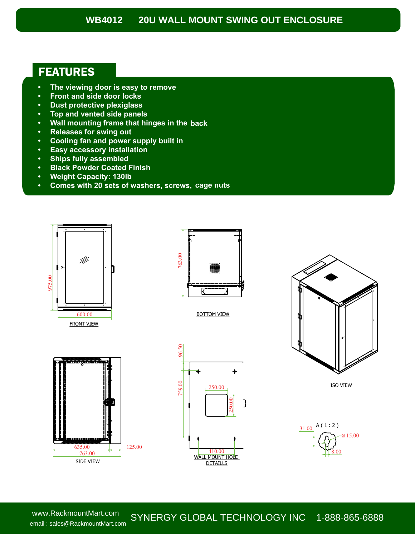## **WB4012 20U WALL MOUNT SWING OUT ENCLOSURE**

## FEATURES

- **• The viewing door is easy to remove**
- **• Front and side door locks**
- **• Dust protective plexiglass**
- **• Top and vented side panels**
- **• Wall mounting frame that hinges in the back**
- **• Releases for swing out**
- **• Cooling fan and power supply built in**
- **• Easy accessory installation**
- **• Ships fully assembled**
- **• Black Powder Coated Finish**
- **• Weight Capacity: 130lb**
- **• Comes with 20 sets of washers, screws, cage nuts**





BOTTOM VIEW







ISO VIEW



www.RackmountMart.com email : sales@RackmountMart.com

SYNERGY GLOBAL TECHNOLOGY INC 1-888-865-6888